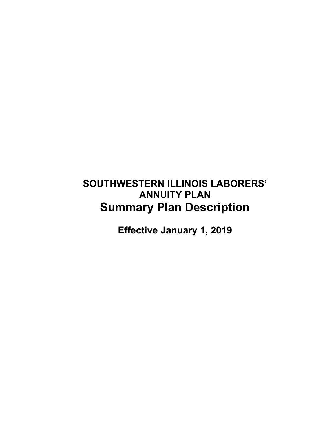# **SOUTHWESTERN ILLINOIS LABORERS' ANNUITY PLAN Summary Plan Description**

**Effective January 1, 2019**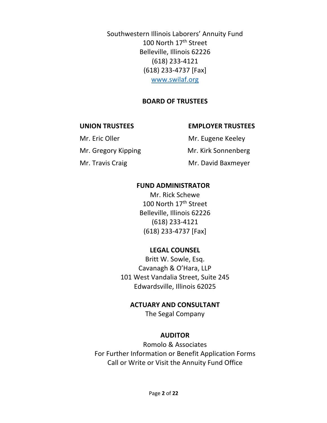Southwestern Illinois Laborers' Annuity Fund 100 North 17<sup>th</sup> Street Belleville, Illinois 62226 (618) 233-4121 (618) 233-4737 [Fax] www.swilaf.org

#### **BOARD OF TRUSTEES**

#### **UNION TRUSTEES EMPLOYER TRUSTEES**

Mr. Eric Oller Mr. Eugene Keeley Mr. Gregory Kipping Mr. Kirk Sonnenberg Mr. Travis Craig Mr. David Baxmeyer

#### **FUND ADMINISTRATOR**

Mr. Rick Schewe 100 North 17<sup>th</sup> Street Belleville, Illinois 62226 (618) 233-4121 (618) 233-4737 [Fax]

#### **LEGAL COUNSEL**

Britt W. Sowle, Esq. Cavanagh & O'Hara, LLP 101 West Vandalia Street, Suite 245 Edwardsville, Illinois 62025

#### **ACTUARY AND CONSULTANT**

The Segal Company

#### **AUDITOR**

Romolo & Associates For Further Information or Benefit Application Forms Call or Write or Visit the Annuity Fund Office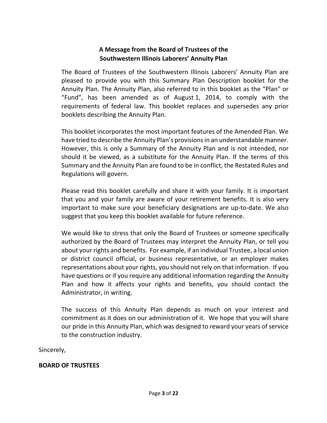#### **A Message from the Board of Trustees of the Southwestern Illinois Laborers' Annuity Plan**

The Board of Trustees of the Southwestern Illinois Laborers' Annuity Plan are pleased to provide you with this Summary Plan Description booklet for the Annuity Plan. The Annuity Plan, also referred to in this booklet as the "Plan" or "Fund", has been amended as of August 1, 2014, to comply with the requirements of federal law. This booklet replaces and supersedes any prior booklets describing the Annuity Plan.

This booklet incorporates the most important features of the Amended Plan. We have tried to describe the Annuity Plan's provisions in an understandable manner. However, this is only a Summary of the Annuity Plan and is not intended, nor should it be viewed, as a substitute for the Annuity Plan. If the terms of this Summary and the Annuity Plan are found to be in conflict, the Restated Rules and Regulations will govern.

Please read this booklet carefully and share it with your family. It is important that you and your family are aware of your retirement benefits. It is also very important to make sure your beneficiary designations are up-to-date. We also suggest that you keep this booklet available for future reference.

We would like to stress that only the Board of Trustees or someone specifically authorized by the Board of Trustees may interpret the Annuity Plan, or tell you about your rights and benefits. For example, if an individual Trustee, a local union or district council official, or business representative, or an employer makes representations about your rights, you should not rely on that information. If you have questions or if you require any additional information regarding the Annuity Plan and how it affects your rights and benefits, you should contact the Administrator, in writing.

The success of this Annuity Plan depends as much on your interest and commitment as it does on our administration of it. We hope that you will share our pride in this Annuity Plan, which was designed to reward your years of service to the construction industry.

Sincerely,

#### **BOARD OF TRUSTEES**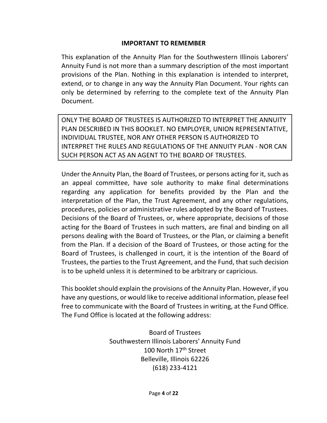#### **IMPORTANT TO REMEMBER**

This explanation of the Annuity Plan for the Southwestern Illinois Laborers' Annuity Fund is not more than a summary description of the most important provisions of the Plan. Nothing in this explanation is intended to interpret, extend, or to change in any way the Annuity Plan Document. Your rights can only be determined by referring to the complete text of the Annuity Plan Document.

ONLY THE BOARD OF TRUSTEES IS AUTHORIZED TO INTERPRET THE ANNUITY PLAN DESCRIBED IN THIS BOOKLET. NO EMPLOYER, UNION REPRESENTATIVE, INDIVIDUAL TRUSTEE, NOR ANY OTHER PERSON IS AUTHORIZED TO INTERPRET THE RULES AND REGULATIONS OF THE ANNUITY PLAN - NOR CAN SUCH PERSON ACT AS AN AGENT TO THE BOARD OF TRUSTEES.

Under the Annuity Plan, the Board of Trustees, or persons acting for it, such as an appeal committee, have sole authority to make final determinations regarding any application for benefits provided by the Plan and the interpretation of the Plan, the Trust Agreement, and any other regulations, procedures, policies or administrative rules adopted by the Board of Trustees. Decisions of the Board of Trustees, or, where appropriate, decisions of those acting for the Board of Trustees in such matters, are final and binding on all persons dealing with the Board of Trustees, or the Plan, or claiming a benefit from the Plan. If a decision of the Board of Trustees, or those acting for the Board of Trustees, is challenged in court, it is the intention of the Board of Trustees, the parties to the Trust Agreement, and the Fund, that such decision is to be upheld unless it is determined to be arbitrary or capricious.

This booklet should explain the provisions of the Annuity Plan. However, if you have any questions, or would like to receive additional information, please feel free to communicate with the Board of Trustees in writing, at the Fund Office. The Fund Office is located at the following address:

> Board of Trustees Southwestern Illinois Laborers' Annuity Fund 100 North 17<sup>th</sup> Street Belleville, Illinois 62226 (618) 233-4121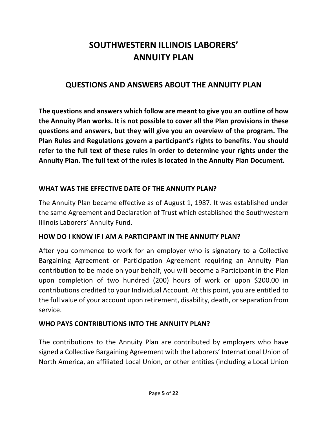# **SOUTHWESTERN ILLINOIS LABORERS' ANNUITY PLAN**

#### **QUESTIONS AND ANSWERS ABOUT THE ANNUITY PLAN**

**The questions and answers which follow are meant to give you an outline of how the Annuity Plan works. It is not possible to cover all the Plan provisions in these questions and answers, but they will give you an overview of the program. The Plan Rules and Regulations govern a participant's rights to benefits. You should refer to the full text of these rules in order to determine your rights under the Annuity Plan. The full text of the rules is located in the Annuity Plan Document.** 

#### **WHAT WAS THE EFFECTIVE DATE OF THE ANNUITY PLAN?**

The Annuity Plan became effective as of August 1, 1987. It was established under the same Agreement and Declaration of Trust which established the Southwestern Illinois Laborers' Annuity Fund.

#### **HOW DO I KNOW IF I AM A PARTICIPANT IN THE ANNUITY PLAN?**

After you commence to work for an employer who is signatory to a Collective Bargaining Agreement or Participation Agreement requiring an Annuity Plan contribution to be made on your behalf, you will become a Participant in the Plan upon completion of two hundred (200) hours of work or upon \$200.00 in contributions credited to your Individual Account. At this point, you are entitled to the full value of your account upon retirement, disability, death, or separation from service.

#### **WHO PAYS CONTRIBUTIONS INTO THE ANNUITY PLAN?**

The contributions to the Annuity Plan are contributed by employers who have signed a Collective Bargaining Agreement with the Laborers' International Union of North America, an affiliated Local Union, or other entities (including a Local Union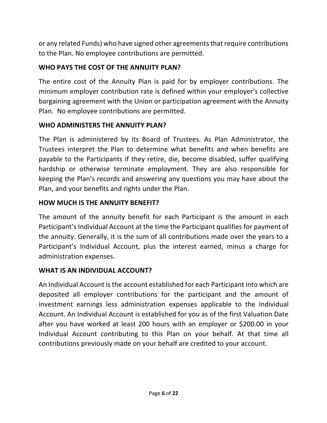or any related Funds) who have signed other agreements that require contributions to the Plan. No employee contributions are permitted.

# **WHO PAYS THE COST OF THE ANNUITY PLAN?**

The entire cost of the Annuity Plan is paid for by employer contributions. The minimum employer contribution rate is defined within your employer's collective bargaining agreement with the Union or participation agreement with the Annuity Plan. No employee contributions are permitted.

## **WHO ADMINISTERS THE ANNUITY PLAN?**

The Plan is administered by its Board of Trustees. As Plan Administrator, the Trustees interpret the Plan to determine what benefits and when benefits are payable to the Participants if they retire, die, become disabled, suffer qualifying hardship or otherwise terminate employment. They are also responsible for keeping the Plan's records and answering any questions you may have about the Plan, and your benefits and rights under the Plan.

## **HOW MUCH IS THE ANNUITY BENEFIT?**

The amount of the annuity benefit for each Participant is the amount in each Participant's Individual Account at the time the Participant qualifies for payment of the annuity. Generally, it is the sum of all contributions made over the years to a Participant's Individual Account, plus the interest earned, minus a charge for administration expenses.

## **WHAT IS AN INDIVIDUAL ACCOUNT?**

An Individual Account is the account established for each Participant into which are deposited all employer contributions for the participant and the amount of investment earnings less administration expenses applicable to the Individual Account. An Individual Account is established for you as of the first Valuation Date after you have worked at least 200 hours with an employer or \$200.00 in your Individual Account contributing to this Plan on your behalf. At that time all contributions previously made on your behalf are credited to your account.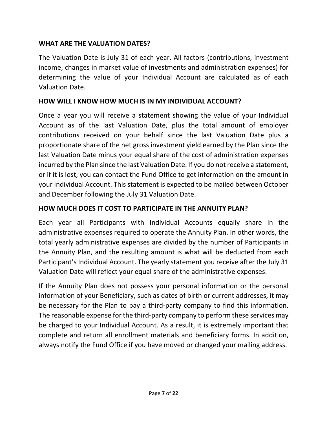#### **WHAT ARE THE VALUATION DATES?**

The Valuation Date is July 31 of each year. All factors (contributions, investment income, changes in market value of investments and administration expenses) for determining the value of your Individual Account are calculated as of each Valuation Date.

#### **HOW WILL I KNOW HOW MUCH IS IN MY INDIVIDUAL ACCOUNT?**

Once a year you will receive a statement showing the value of your Individual Account as of the last Valuation Date, plus the total amount of employer contributions received on your behalf since the last Valuation Date plus a proportionate share of the net gross investment yield earned by the Plan since the last Valuation Date minus your equal share of the cost of administration expenses incurred by the Plan since the last Valuation Date. If you do not receive a statement, or if it is lost, you can contact the Fund Office to get information on the amount in your Individual Account. This statement is expected to be mailed between October and December following the July 31 Valuation Date.

#### **HOW MUCH DOES IT COST TO PARTICIPATE IN THE ANNUITY PLAN?**

Each year all Participants with Individual Accounts equally share in the administrative expenses required to operate the Annuity Plan. In other words, the total yearly administrative expenses are divided by the number of Participants in the Annuity Plan, and the resulting amount is what will be deducted from each Participant's Individual Account. The yearly statement you receive after the July 31 Valuation Date will reflect your equal share of the administrative expenses.

If the Annuity Plan does not possess your personal information or the personal information of your Beneficiary, such as dates of birth or current addresses, it may be necessary for the Plan to pay a third-party company to find this information. The reasonable expense for the third-party company to perform these services may be charged to your Individual Account. As a result, it is extremely important that complete and return all enrollment materials and beneficiary forms. In addition, always notify the Fund Office if you have moved or changed your mailing address.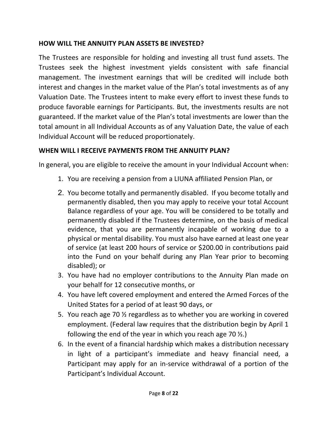#### **HOW WILL THE ANNUITY PLAN ASSETS BE INVESTED?**

The Trustees are responsible for holding and investing all trust fund assets. The Trustees seek the highest investment yields consistent with safe financial management. The investment earnings that will be credited will include both interest and changes in the market value of the Plan's total investments as of any Valuation Date. The Trustees intent to make every effort to invest these funds to produce favorable earnings for Participants. But, the investments results are not guaranteed. If the market value of the Plan's total investments are lower than the total amount in all Individual Accounts as of any Valuation Date, the value of each Individual Account will be reduced proportionately.

#### **WHEN WILL I RECEIVE PAYMENTS FROM THE ANNUITY PLAN?**

In general, you are eligible to receive the amount in your Individual Account when:

- 1. You are receiving a pension from a LIUNA affiliated Pension Plan, or
- 2. You become totally and permanently disabled. If you become totally and permanently disabled, then you may apply to receive your total Account Balance regardless of your age. You will be considered to be totally and permanently disabled if the Trustees determine, on the basis of medical evidence, that you are permanently incapable of working due to a physical or mental disability. You must also have earned at least one year of service (at least 200 hours of service or \$200.00 in contributions paid into the Fund on your behalf during any Plan Year prior to becoming disabled); or
- 3. You have had no employer contributions to the Annuity Plan made on your behalf for 12 consecutive months, or
- 4. You have left covered employment and entered the Armed Forces of the United States for a period of at least 90 days, or
- 5. You reach age 70 ½ regardless as to whether you are working in covered employment. (Federal law requires that the distribution begin by April 1 following the end of the year in which you reach age 70  $\frac{1}{2}$ .)
- 6. In the event of a financial hardship which makes a distribution necessary in light of a participant's immediate and heavy financial need, a Participant may apply for an in-service withdrawal of a portion of the Participant's Individual Account.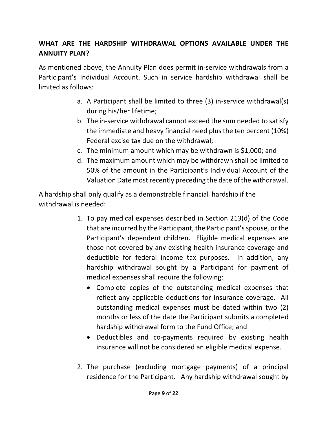# **WHAT ARE THE HARDSHIP WITHDRAWAL OPTIONS AVAILABLE UNDER THE ANNUITY PLAN?**

As mentioned above, the Annuity Plan does permit in-service withdrawals from a Participant's Individual Account. Such in service hardship withdrawal shall be limited as follows:

- a. A Participant shall be limited to three (3) in-service withdrawal(s) during his/her lifetime;
- b. The in-service withdrawal cannot exceed the sum needed to satisfy the immediate and heavy financial need plus the ten percent (10%) Federal excise tax due on the withdrawal;
- c. The minimum amount which may be withdrawn is \$1,000; and
- d. The maximum amount which may be withdrawn shall be limited to 50% of the amount in the Participant's Individual Account of the Valuation Date most recently preceding the date of the withdrawal.

A hardship shall only qualify as a demonstrable financial hardship if the withdrawal is needed:

- 1. To pay medical expenses described in Section 213(d) of the Code that are incurred by the Participant, the Participant's spouse, or the Participant's dependent children. Eligible medical expenses are those not covered by any existing health insurance coverage and deductible for federal income tax purposes. In addition, any hardship withdrawal sought by a Participant for payment of medical expenses shall require the following:
	- Complete copies of the outstanding medical expenses that reflect any applicable deductions for insurance coverage. All outstanding medical expenses must be dated within two (2) months or less of the date the Participant submits a completed hardship withdrawal form to the Fund Office; and
	- Deductibles and co-payments required by existing health insurance will not be considered an eligible medical expense.
- 2. The purchase (excluding mortgage payments) of a principal residence for the Participant. Any hardship withdrawal sought by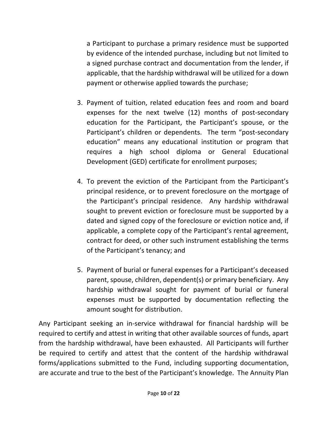a Participant to purchase a primary residence must be supported by evidence of the intended purchase, including but not limited to a signed purchase contract and documentation from the lender, if applicable, that the hardship withdrawal will be utilized for a down payment or otherwise applied towards the purchase;

- 3. Payment of tuition, related education fees and room and board expenses for the next twelve (12) months of post-secondary education for the Participant, the Participant's spouse, or the Participant's children or dependents. The term "post-secondary education" means any educational institution or program that requires a high school diploma or General Educational Development (GED) certificate for enrollment purposes;
- 4. To prevent the eviction of the Participant from the Participant's principal residence, or to prevent foreclosure on the mortgage of the Participant's principal residence. Any hardship withdrawal sought to prevent eviction or foreclosure must be supported by a dated and signed copy of the foreclosure or eviction notice and, if applicable, a complete copy of the Participant's rental agreement, contract for deed, or other such instrument establishing the terms of the Participant's tenancy; and
- 5. Payment of burial or funeral expenses for a Participant's deceased parent, spouse, children, dependent(s) or primary beneficiary. Any hardship withdrawal sought for payment of burial or funeral expenses must be supported by documentation reflecting the amount sought for distribution.

Any Participant seeking an in-service withdrawal for financial hardship will be required to certify and attest in writing that other available sources of funds, apart from the hardship withdrawal, have been exhausted. All Participants will further be required to certify and attest that the content of the hardship withdrawal forms/applications submitted to the Fund, including supporting documentation, are accurate and true to the best of the Participant's knowledge. The Annuity Plan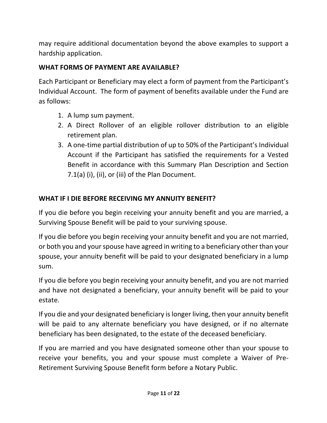may require additional documentation beyond the above examples to support a hardship application.

#### **WHAT FORMS OF PAYMENT ARE AVAILABLE?**

Each Participant or Beneficiary may elect a form of payment from the Participant's Individual Account. The form of payment of benefits available under the Fund are as follows:

- 1. A lump sum payment.
- 2. A Direct Rollover of an eligible rollover distribution to an eligible retirement plan.
- 3. A one-time partial distribution of up to 50% of the Participant's Individual Account if the Participant has satisfied the requirements for a Vested Benefit in accordance with this Summary Plan Description and Section 7.1(a) (i), (ii), or (iii) of the Plan Document.

# **WHAT IF I DIE BEFORE RECEIVING MY ANNUITY BENEFIT?**

If you die before you begin receiving your annuity benefit and you are married, a Surviving Spouse Benefit will be paid to your surviving spouse.

If you die before you begin receiving your annuity benefit and you are not married, or both you and your spouse have agreed in writing to a beneficiary other than your spouse, your annuity benefit will be paid to your designated beneficiary in a lump sum.

If you die before you begin receiving your annuity benefit, and you are not married and have not designated a beneficiary, your annuity benefit will be paid to your estate.

If you die and your designated beneficiary is longer living, then your annuity benefit will be paid to any alternate beneficiary you have designed, or if no alternate beneficiary has been designated, to the estate of the deceased beneficiary.

If you are married and you have designated someone other than your spouse to receive your benefits, you and your spouse must complete a Waiver of Pre-Retirement Surviving Spouse Benefit form before a Notary Public.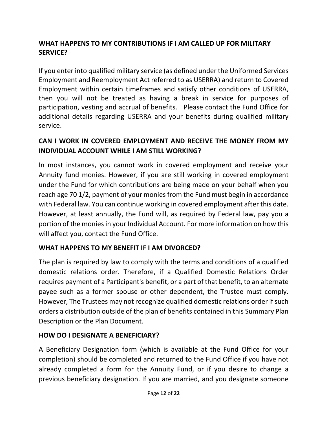# **WHAT HAPPENS TO MY CONTRIBUTIONS IF I AM CALLED UP FOR MILITARY SERVICE?**

If you enter into qualified military service (as defined under the Uniformed Services Employment and Reemployment Act referred to as USERRA) and return to Covered Employment within certain timeframes and satisfy other conditions of USERRA, then you will not be treated as having a break in service for purposes of participation, vesting and accrual of benefits. Please contact the Fund Office for additional details regarding USERRA and your benefits during qualified military service.

## **CAN I WORK IN COVERED EMPLOYMENT AND RECEIVE THE MONEY FROM MY INDIVIDUAL ACCOUNT WHILE I AM STILL WORKING?**

In most instances, you cannot work in covered employment and receive your Annuity fund monies. However, if you are still working in covered employment under the Fund for which contributions are being made on your behalf when you reach age 70 1/2, payment of your monies from the Fund must begin in accordance with Federal law. You can continue working in covered employment after this date. However, at least annually, the Fund will, as required by Federal law, pay you a portion of the monies in your Individual Account. For more information on how this will affect you, contact the Fund Office.

#### **WHAT HAPPENS TO MY BENEFIT IF I AM DIVORCED?**

The plan is required by law to comply with the terms and conditions of a qualified domestic relations order. Therefore, if a Qualified Domestic Relations Order requires payment of a Participant's benefit, or a part of that benefit, to an alternate payee such as a former spouse or other dependent, the Trustee must comply. However, The Trustees may not recognize qualified domestic relations order if such orders a distribution outside of the plan of benefits contained in this Summary Plan Description or the Plan Document.

#### **HOW DO I DESIGNATE A BENEFICIARY?**

A Beneficiary Designation form (which is available at the Fund Office for your completion) should be completed and returned to the Fund Office if you have not already completed a form for the Annuity Fund, or if you desire to change a previous beneficiary designation. If you are married, and you designate someone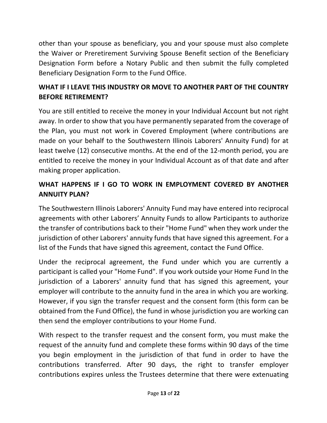other than your spouse as beneficiary, you and your spouse must also complete the Waiver or Preretirement Surviving Spouse Benefit section of the Beneficiary Designation Form before a Notary Public and then submit the fully completed Beneficiary Designation Form to the Fund Office.

# **WHAT IF I LEAVE THIS INDUSTRY OR MOVE TO ANOTHER PART OF THE COUNTRY BEFORE RETIREMENT?**

You are still entitled to receive the money in your Individual Account but not right away. In order to show that you have permanently separated from the coverage of the Plan, you must not work in Covered Employment (where contributions are made on your behalf to the Southwestern Illinois Laborers' Annuity Fund) for at least twelve (12) consecutive months. At the end of the 12-month period, you are entitled to receive the money in your Individual Account as of that date and after making proper application.

# **WHAT HAPPENS IF I GO TO WORK IN EMPLOYMENT COVERED BY ANOTHER ANNUITY PLAN?**

The Southwestern Illinois Laborers' Annuity Fund may have entered into reciprocal agreements with other Laborers' Annuity Funds to allow Participants to authorize the transfer of contributions back to their "Home Fund" when they work under the jurisdiction of other Laborers' annuity funds that have signed this agreement. For a list of the Funds that have signed this agreement, contact the Fund Office.

Under the reciprocal agreement, the Fund under which you are currently a participant is called your "Home Fund". If you work outside your Home Fund In the jurisdiction of a Laborers' annuity fund that has signed this agreement, your employer will contribute to the annuity fund in the area in which you are working. However, if you sign the transfer request and the consent form (this form can be obtained from the Fund Office), the fund in whose jurisdiction you are working can then send the employer contributions to your Home Fund.

With respect to the transfer request and the consent form, you must make the request of the annuity fund and complete these forms within 90 days of the time you begin employment in the jurisdiction of that fund in order to have the contributions transferred. After 90 days, the right to transfer employer contributions expires unless the Trustees determine that there were extenuating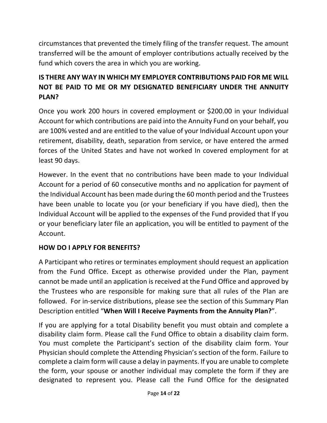circumstances that prevented the timely filing of the transfer request. The amount transferred will be the amount of employer contributions actually received by the fund which covers the area in which you are working.

# **IS THERE ANY WAY IN WHICH MY EMPLOYER CONTRIBUTIONS PAID FOR ME WILL NOT BE PAID TO ME OR MY DESIGNATED BENEFICIARY UNDER THE ANNUITY PLAN?**

Once you work 200 hours in covered employment or \$200.00 in your Individual Account for which contributions are paid into the Annuity Fund on your behalf, you are 100% vested and are entitled to the value of your Individual Account upon your retirement, disability, death, separation from service, or have entered the armed forces of the United States and have not worked In covered employment for at least 90 days.

However. In the event that no contributions have been made to your Individual Account for a period of 60 consecutive months and no application for payment of the Individual Account has been made during the 60 month period and the Trustees have been unable to locate you (or your beneficiary if you have died), then the Individual Account will be applied to the expenses of the Fund provided that If you or your beneficiary later file an application, you will be entitled to payment of the Account.

#### **HOW DO I APPLY FOR BENEFITS?**

A Participant who retires or terminates employment should request an application from the Fund Office. Except as otherwise provided under the Plan, payment cannot be made until an application is received at the Fund Office and approved by the Trustees who are responsible for making sure that all rules of the Plan are followed. For in-service distributions, please see the section of this Summary Plan Description entitled "**When Will I Receive Payments from the Annuity Plan?**".

If you are applying for a total Disability benefit you must obtain and complete a disability claim form. Please call the Fund Office to obtain a disability claim form. You must complete the Participant's section of the disability claim form. Your Physician should complete the Attending Physician's section of the form. Failure to complete a claim form will cause a delay in payments. If you are unable to complete the form, your spouse or another individual may complete the form if they are designated to represent you. Please call the Fund Office for the designated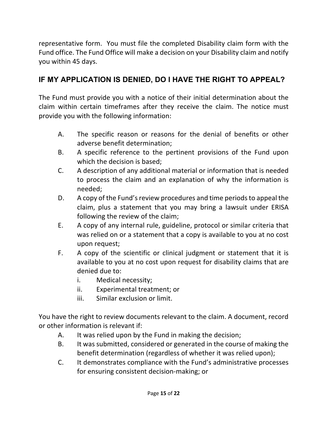representative form. You must file the completed Disability claim form with the Fund office. The Fund Office will make a decision on your Disability claim and notify you within 45 days.

# **IF MY APPLICATION IS DENIED, DO I HAVE THE RIGHT TO APPEAL?**

The Fund must provide you with a notice of their initial determination about the claim within certain timeframes after they receive the claim. The notice must provide you with the following information:

- A. The specific reason or reasons for the denial of benefits or other adverse benefit determination;
- B. A specific reference to the pertinent provisions of the Fund upon which the decision is based;
- C. A description of any additional material or information that is needed to process the claim and an explanation of why the information is needed;
- D. A copy of the Fund's review procedures and time periods to appeal the claim, plus a statement that you may bring a lawsuit under ERISA following the review of the claim;
- E. A copy of any internal rule, guideline, protocol or similar criteria that was relied on or a statement that a copy is available to you at no cost upon request;
- F. A copy of the scientific or clinical judgment or statement that it is available to you at no cost upon request for disability claims that are denied due to:
	- i. Medical necessity;
	- ii. Experimental treatment; or
	- iii. Similar exclusion or limit.

You have the right to review documents relevant to the claim. A document, record or other information is relevant if:

- A. It was relied upon by the Fund in making the decision;
- B. It was submitted, considered or generated in the course of making the benefit determination (regardless of whether it was relied upon);
- C. It demonstrates compliance with the Fund's administrative processes for ensuring consistent decision-making; or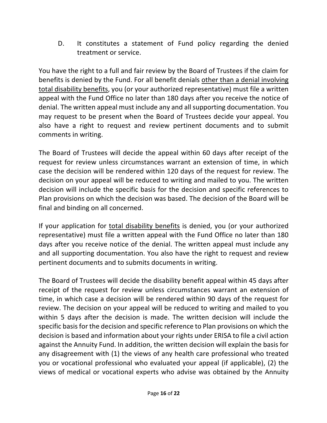D. It constitutes a statement of Fund policy regarding the denied treatment or service.

You have the right to a full and fair review by the Board of Trustees if the claim for benefits is denied by the Fund. For all benefit denials other than a denial involving total disability benefits, you (or your authorized representative) must file a written appeal with the Fund Office no later than 180 days after you receive the notice of denial. The written appeal must include any and all supporting documentation. You may request to be present when the Board of Trustees decide your appeal. You also have a right to request and review pertinent documents and to submit comments in writing.

The Board of Trustees will decide the appeal within 60 days after receipt of the request for review unless circumstances warrant an extension of time, in which case the decision will be rendered within 120 days of the request for review. The decision on your appeal will be reduced to writing and mailed to you. The written decision will include the specific basis for the decision and specific references to Plan provisions on which the decision was based. The decision of the Board will be final and binding on all concerned.

If your application for total disability benefits is denied, you (or your authorized representative) must file a written appeal with the Fund Office no later than 180 days after you receive notice of the denial. The written appeal must include any and all supporting documentation. You also have the right to request and review pertinent documents and to submits documents in writing.

The Board of Trustees will decide the disability benefit appeal within 45 days after receipt of the request for review unless circumstances warrant an extension of time, in which case a decision will be rendered within 90 days of the request for review. The decision on your appeal will be reduced to writing and mailed to you within 5 days after the decision is made. The written decision will include the specific basis for the decision and specific reference to Plan provisions on which the decision is based and information about your rights under ERISA to file a civil action against the Annuity Fund. In addition, the written decision will explain the basis for any disagreement with (1) the views of any health care professional who treated you or vocational professional who evaluated your appeal (if applicable), (2) the views of medical or vocational experts who advise was obtained by the Annuity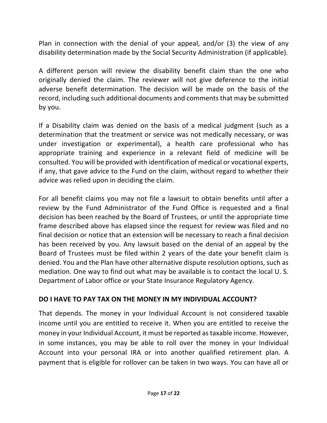Plan in connection with the denial of your appeal, and/or (3) the view of any disability determination made by the Social Security Administration (if applicable).

A different person will review the disability benefit claim than the one who originally denied the claim. The reviewer will not give deference to the initial adverse benefit determination. The decision will be made on the basis of the record, including such additional documents and comments that may be submitted by you.

If a Disability claim was denied on the basis of a medical judgment (such as a determination that the treatment or service was not medically necessary, or was under investigation or experimental), a health care professional who has appropriate training and experience in a relevant field of medicine will be consulted. You will be provided with identification of medical or vocational experts, if any, that gave advice to the Fund on the claim, without regard to whether their advice was relied upon in deciding the claim.

For all benefit claims you may not file a lawsuit to obtain benefits until after a review by the Fund Administrator of the Fund Office is requested and a final decision has been reached by the Board of Trustees, or until the appropriate time frame described above has elapsed since the request for review was filed and no final decision or notice that an extension will be necessary to reach a final decision has been received by you. Any lawsuit based on the denial of an appeal by the Board of Trustees must be filed within 2 years of the date your benefit claim is denied. You and the Plan have other alternative dispute resolution options, such as mediation. One way to find out what may be available is to contact the local U. S. Department of Labor office or your State Insurance Regulatory Agency.

## **DO I HAVE TO PAY TAX ON THE MONEY IN MY INDIVIDUAL ACCOUNT?**

That depends. The money in your Individual Account is not considered taxable income until you are entitled to receive it. When you are entitled to receive the money in your Individual Account, it must be reported as taxable income. However, in some instances, you may be able to roll over the money in your Individual Account into your personal IRA or into another qualified retirement plan. A payment that is eligible for rollover can be taken in two ways. You can have all or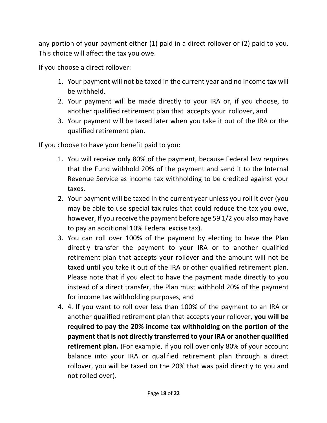any portion of your payment either (1) paid in a direct rollover or (2) paid to you. This choice will affect the tax you owe.

If you choose a direct rollover:

- 1. Your payment will not be taxed in the current year and no Income tax will be withheld.
- 2. Your payment will be made directly to your IRA or, if you choose, to another qualified retirement plan that accepts your rollover, and
- 3. Your payment will be taxed later when you take it out of the IRA or the qualified retirement plan.

If you choose to have your benefit paid to you:

- 1. You will receive only 80% of the payment, because Federal law requires that the Fund withhold 20% of the payment and send it to the Internal Revenue Service as income tax withholding to be credited against your taxes.
- 2. Your payment will be taxed in the current year unless you roll it over (you may be able to use special tax rules that could reduce the tax you owe, however, If you receive the payment before age 59 1/2 you also may have to pay an additional 10% Federal excise tax).
- 3. You can roll over 100% of the payment by electing to have the Plan directly transfer the payment to your IRA or to another qualified retirement plan that accepts your rollover and the amount will not be taxed until you take it out of the IRA or other qualified retirement plan. Please note that if you elect to have the payment made directly to you instead of a direct transfer, the Plan must withhold 20% of the payment for income tax withholding purposes, and
- 4. 4. If you want to roll over less than 100% of the payment to an IRA or another qualified retirement plan that accepts your rollover, **you will be required to pay the 20% income tax withholding on the portion of the payment that is not directly transferred to your IRA or another qualified retirement plan.** (For example, if you roll over only 80% of your account balance into your IRA or qualified retirement plan through a direct rollover, you will be taxed on the 20% that was paid directly to you and not rolled over).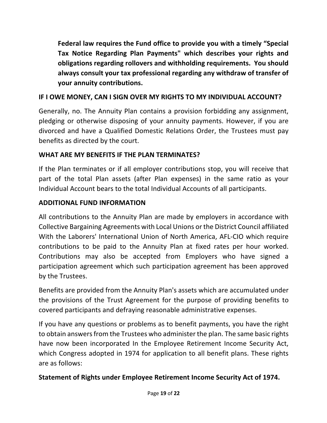**Federal law requires the Fund office to provide you with a timely "Special Tax Notice Regarding Plan Payments" which describes your rights and obligations regarding rollovers and withholding requirements. You should always consult your tax professional regarding any withdraw of transfer of your annuity contributions.**

# **IF I OWE MONEY, CAN I SIGN OVER MY RIGHTS TO MY INDIVIDUAL ACCOUNT?**

Generally, no. The Annuity Plan contains a provision forbidding any assignment, pledging or otherwise disposing of your annuity payments. However, if you are divorced and have a Qualified Domestic Relations Order, the Trustees must pay benefits as directed by the court.

# **WHAT ARE MY BENEFITS IF THE PLAN TERMINATES?**

If the Plan terminates or if all employer contributions stop, you will receive that part of the total Plan assets (after Plan expenses) in the same ratio as your Individual Account bears to the total Individual Accounts of all participants.

# **ADDITIONAL FUND INFORMATION**

All contributions to the Annuity Plan are made by employers in accordance with Collective Bargaining Agreements with Local Unions or the District Council affiliated With the Laborers' International Union of North America, AFL-CIO which require contributions to be paid to the Annuity Plan at fixed rates per hour worked. Contributions may also be accepted from Employers who have signed a participation agreement which such participation agreement has been approved by the Trustees.

Benefits are provided from the Annuity Plan's assets which are accumulated under the provisions of the Trust Agreement for the purpose of providing benefits to covered participants and defraying reasonable administrative expenses.

If you have any questions or problems as to benefit payments, you have the right to obtain answersfrom the Trustees who administer the plan. The same basic rights have now been incorporated In the Employee Retirement Income Security Act, which Congress adopted in 1974 for application to all benefit plans. These rights are as follows:

## **Statement of Rights under Employee Retirement Income Security Act of 1974.**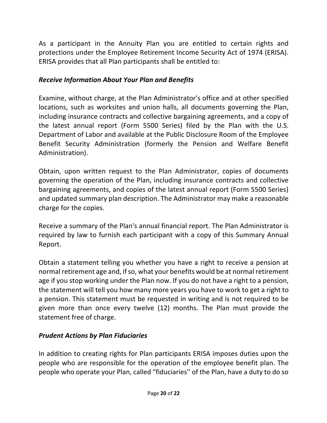As a participant in the Annuity Plan you are entitled to certain rights and protections under the Employee Retirement Income Security Act of 1974 (ERISA). ERISA provides that all Plan participants shall be entitled to:

#### *Receive Information About Your Plan and Benefits*

Examine, without charge, at the Plan Administrator's office and at other specified locations, such as worksites and union halls, all documents governing the Plan, including insurance contracts and collective bargaining agreements, and a copy of the latest annual report (Form 5500 Series) filed by the Plan with the U.S. Department of Labor and available at the Public Disclosure Room of the Employee Benefit Security Administration (formerly the Pension and Welfare Benefit Administration).

Obtain, upon written request to the Plan Administrator, copies of documents governing the operation of the Plan, including insurance contracts and collective bargaining agreements, and copies of the latest annual report (Form 5500 Series) and updated summary plan description. The Administrator may make a reasonable charge for the copies.

Receive a summary of the Plan's annual financial report. The Plan Administrator is required by law to furnish each participant with a copy of this Summary Annual Report.

Obtain a statement telling you whether you have a right to receive a pension at normal retirement age and, if so, what your benefits would be at normal retirement age if you stop working under the Plan now. If you do not have a right to a pension, the statement will tell you how many more years you have to work to get a right to a pension. This statement must be requested in writing and is not required to be given more than once every twelve (12) months. The Plan must provide the statement free of charge.

## *Prudent Actions by Plan Fiduciaries*

In addition to creating rights for Plan participants ERISA imposes duties upon the people who are responsible for the operation of the employee benefit plan. The people who operate your Plan, called "fiduciaries'' of the Plan, have a duty to do so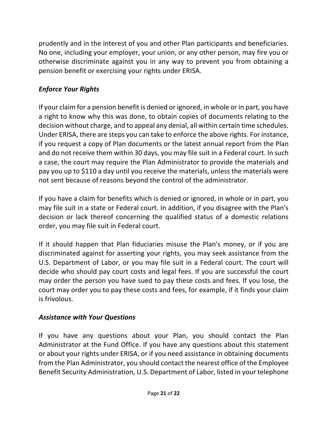prudently and in the interest of you and other Plan participants and beneficiaries. No one, including your employer, your union, or any other person, may fire you or otherwise discriminate against you in any way to prevent you from obtaining a pension benefit or exercising your rights under ERISA.

# *Enforce Your Rights*

If your claim for a pension benefit is denied or ignored, in whole or in part, you have a right to know why this was done, to obtain copies of documents relating to the decision without charge, and to appeal any denial, all within certain time schedules. Under ERISA, there are steps you can take to enforce the above rights. For instance, if you request a copy of Plan documents or the latest annual report from the Plan and do not receive them within 30 days, you may file suit in a Federal court. In such a case, the court may require the Plan Administrator to provide the materials and pay you up to \$110 a day until you receive the materials, unless the materials were not sent because of reasons beyond the control of the administrator.

If you have a claim for benefits which is denied or ignored, in whole or in part, you may file suit in a state or Federal court. In addition, if you disagree with the Plan's decision or lack thereof concerning the qualified status of a domestic relations order, you may file suit in Federal court.

If it should happen that Plan fiduciaries misuse the Plan's money, or if you are discriminated against for asserting your rights, you may seek assistance from the U.S. Department of Labor, or you may file suit in a Federal court. The court will decide who should pay court costs and legal fees. If you are successful the court may order the person you have sued to pay these costs and fees. If you lose, the court may order you to pay these costs and fees, for example, if it finds your claim is frivolous.

## *Assistance with Your Questions*

If you have any questions about your Plan, you should contact the Plan Administrator at the Fund Office. If you have any questions about this statement or about your rights under ERISA, or if you need assistance in obtaining documents from the Plan Administrator, you should contact the nearest office of the Employee Benefit Security Administration, U.S. Department of Labor, listed in your telephone